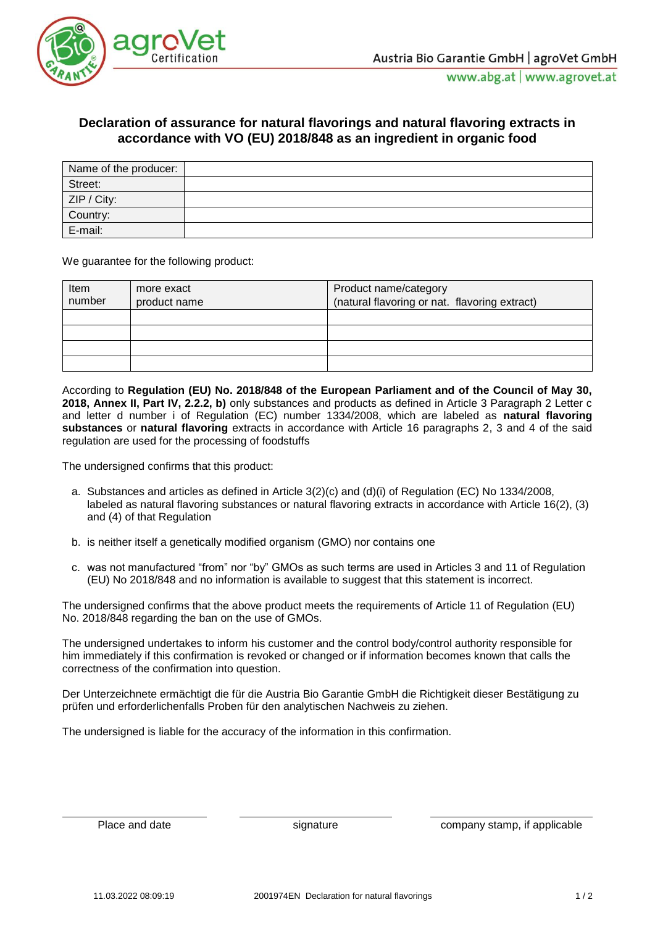

## **Declaration of assurance for natural flavorings and natural flavoring extracts in accordance with VO (EU) 2018/848 as an ingredient in organic food**

| Name of the producer:                                        |  |
|--------------------------------------------------------------|--|
| Street:                                                      |  |
| ZIP / City:                                                  |  |
| and the control of the control of the control of<br>Country: |  |
| E-mail:                                                      |  |

We guarantee for the following product:

| Item<br>number | more exact<br>product name | Product name/category<br>(natural flavoring or nat. flavoring extract) |
|----------------|----------------------------|------------------------------------------------------------------------|
|                |                            |                                                                        |
|                |                            |                                                                        |
|                |                            |                                                                        |
|                |                            |                                                                        |

According to **Regulation (EU) No. 2018/848 of the European Parliament and of the Council of May 30, 2018, Annex II, Part IV, 2.2.2, b)** only substances and products as defined in Article 3 Paragraph 2 Letter c and letter d number i of Regulation (EC) number 1334/2008, which are labeled as **natural flavoring substances** or **natural flavoring** extracts in accordance with Article 16 paragraphs 2, 3 and 4 of the said regulation are used for the processing of foodstuffs

The undersigned confirms that this product:

- a. Substances and articles as defined in Article 3(2)(c) and (d)(i) of Regulation (EC) No 1334/2008, labeled as natural flavoring substances or natural flavoring extracts in accordance with Article 16(2), (3) and (4) of that Regulation
- b. is neither itself a genetically modified organism (GMO) nor contains one
- c. was not manufactured "from" nor "by" GMOs as such terms are used in Articles 3 and 11 of Regulation (EU) No 2018/848 and no information is available to suggest that this statement is incorrect.

The undersigned confirms that the above product meets the requirements of Article 11 of Regulation (EU) No. 2018/848 regarding the ban on the use of GMOs.

The undersigned undertakes to inform his customer and the control body/control authority responsible for him immediately if this confirmation is revoked or changed or if information becomes known that calls the correctness of the confirmation into question.

Der Unterzeichnete ermächtigt die für die Austria Bio Garantie GmbH die Richtigkeit dieser Bestätigung zu prüfen und erforderlichenfalls Proben für den analytischen Nachweis zu ziehen.

The undersigned is liable for the accuracy of the information in this confirmation.

Place and date signature signature company stamp, if applicable